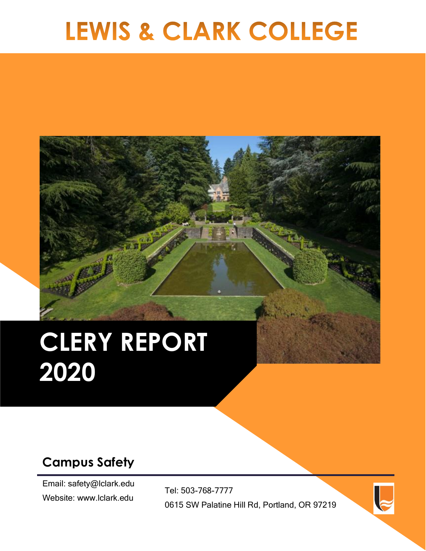# LEWIS & CLARK COLLEGE

# **CLERY REPORT 2020**

# **Campus Safety**

Email: safety@lclark.edu Website: www.lclark.edu

Tel: 503-768-7777 0615 SW Palatine Hill Rd, Portland, OR 97219

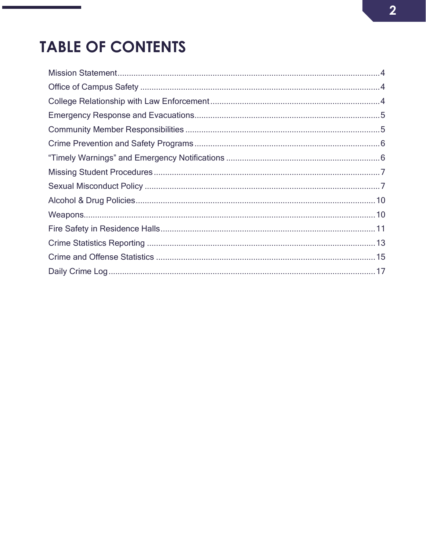# **TABLE OF CONTENTS**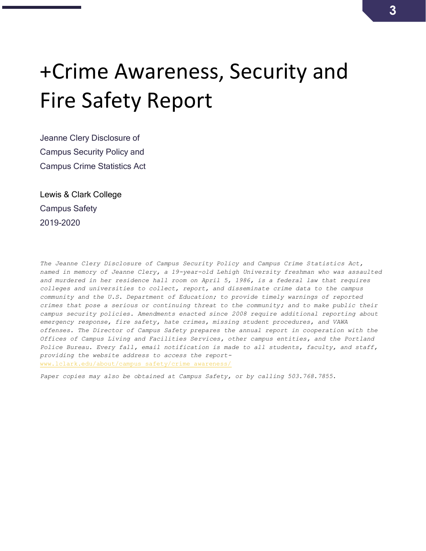# +Crime Awareness, Security and Fire Safety Report

Jeanne Clery Disclosure of Campus Security Policy and Campus Crime Statistics Act

Lewis & Clark College Campus Safety 2019-2020

*The Jeanne Clery Disclosure of Campus Security Policy and Campus Crime Statistics Act, named in memory of Jeanne Clery, a 19-year-old Lehigh University freshman who was assaulted and murdered in her residence hall room on April 5, 1986, is a federal law that requires colleges and universities to collect, report, and disseminate crime data to the campus community and the U.S. Department of Education; to provide timely warnings of reported crimes that pose a serious or continuing threat to the community; and to make public their campus security policies. Amendments enacted since 2008 require additional reporting about emergency response, fire safety, hate crimes, missing student procedures, and VAWA offenses. The Director of Campus Safety prepares the annual report in cooperation with the Offices of Campus Living and Facilities Services, other campus entities, and the Portland Police Bureau. Every fall, email notification is made to all students, faculty, and staff, providing the website address to access the report*[www.lclark.edu/about/campus\\_safety/crime\\_awareness/](http://www.lclark.edu/about/campus_safety/crime_awareness/)

*Paper copies may also be obtained at Campus Safety, or by calling 503.768.7855.*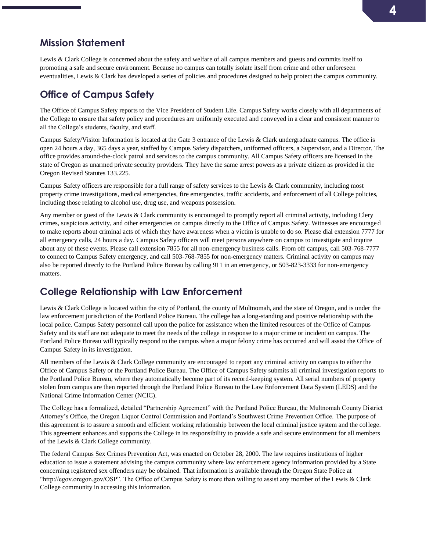## <span id="page-3-0"></span>**Mission Statement**

Lewis & Clark College is concerned about the safety and welfare of all campus members and guests and commits itself to promoting a safe and secure environment. Because no campus can totally isolate itself from crime and other unforeseen eventualities, Lewis & Clark has developed a series of policies and procedures designed to help protect the campus community.

# <span id="page-3-1"></span>**Office of Campus Safety**

The Office of Campus Safety reports to the Vice President of Student Life. Campus Safety works closely with all departments of the College to ensure that safety policy and procedures are uniformly executed and conveyed in a clear and consistent manner to all the College's students, faculty, and staff.

Campus Safety/Visitor Information is located at the Gate 3 entrance of the Lewis & Clark undergraduate campus. The office is open 24 hours a day, 365 days a year, staffed by Campus Safety dispatchers, uniformed officers, a Supervisor, and a Director. The office provides around-the-clock patrol and services to the campus community. All Campus Safety officers are licensed in the state of Oregon as unarmed private security providers. They have the same arrest powers as a private citizen as provided in the Oregon Revised Statutes 133.225.

Campus Safety officers are responsible for a full range of safety services to the Lewis & Clark community, including most property crime investigations, medical emergencies, fire emergencies, traffic accidents, and enforcement of all College policies, including those relating to alcohol use, drug use, and weapons possession.

Any member or guest of the Lewis & Clark community is encouraged to promptly report all criminal activity, including Clery crimes, suspicious activity, and other emergencies on campus directly to the Office of Campus Safety. Witnesses are encouraged to make reports about criminal acts of which they have awareness when a victim is unable to do so. Please dial extension 7777 for all emergency calls, 24 hours a day. Campus Safety officers will meet persons anywhere on campus to investigate and inquire about any of these events. Please call extension 7855 for all non-emergency business calls. From off campus, call 503-768-7777 to connect to Campus Safety emergency, and call 503-768-7855 for non-emergency matters. Criminal activity on campus may also be reported directly to the Portland Police Bureau by calling 911 in an emergency, or 503-823-3333 for non-emergency matters.

# <span id="page-3-2"></span>**College Relationship with Law Enforcement**

Lewis & Clark College is located within the city of Portland, the county of Multnomah, and the state of Oregon, and is under the law enforcement jurisdiction of the Portland Police Bureau. The college has a long-standing and positive relationship with the local police. Campus Safety personnel call upon the police for assistance when the limited resources of the Office of Campus Safety and its staff are not adequate to meet the needs of the college in response to a major crime or incident on campus. The Portland Police Bureau will typically respond to the campus when a major felony crime has occurred and will assist the Office of Campus Safety in its investigation.

All members of the Lewis & Clark College community are encouraged to report any criminal activity on campus to either the Office of Campus Safety or the Portland Police Bureau. The Office of Campus Safety submits all criminal investigation reports to the Portland Police Bureau, where they automatically become part of its record-keeping system. All serial numbers of property stolen from campus are then reported through the Portland Police Bureau to the Law Enforcement Data System (LEDS) and the National Crime Information Center (NCIC).

The College has a formalized, detailed "Partnership Agreement" with the Portland Police Bureau, the Multnomah County District Attorney's Office, the Oregon Liquor Control Commission and Portland's Southwest Crime Prevention Office. The purpose of this agreement is to assure a smooth and efficient working relationship between the local criminal justice system and the college. This agreement enhances and supports the College in its responsibility to provide a safe and secure environment for all members of the Lewis & Clark College community.

The federal Campus Sex Crimes Prevention Act, was enacted on October 28, 2000. The law requires institutions of higher education to issue a statement advising the campus community where law enforcement agency information provided by a State concerning registered sex offenders may be obtained. That information is available through the Oregon State Police at "http://egov.oregon.gov/OSP". The Office of Campus Safety is more than willing to assist any member of the Lewis & Clark College community in accessing this information.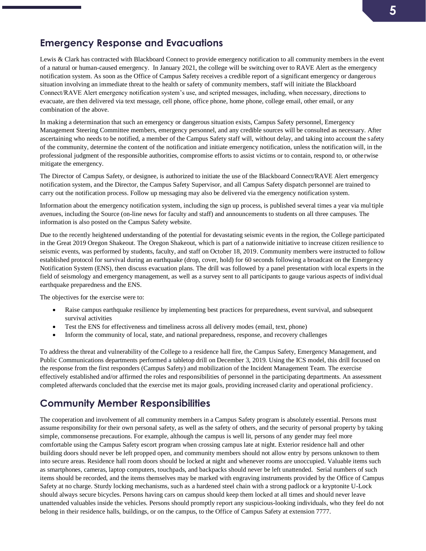# **5**

# <span id="page-4-0"></span>**Emergency Response and Evacuations**

Lewis & Clark has contracted with Blackboard Connect to provide emergency notification to all community members in the event of a natural or human-caused emergency. In January 2021, the college will be switching over to RAVE Alert as the emergency notification system. As soon as the Office of Campus Safety receives a credible report of a significant emergency or dangerous situation involving an immediate threat to the health or safety of community members, staff will initiate the Blackboard Connect/RAVE Alert emergency notification system's use, and scripted messages, including, when necessary, directions to evacuate, are then delivered via text message, cell phone, office phone, home phone, college email, other email, or any combination of the above.

In making a determination that such an emergency or dangerous situation exists, Campus Safety personnel, Emergency Management Steering Committee members, emergency personnel, and any credible sources will be consulted as necessary. After ascertaining who needs to be notified, a member of the Campus Safety staff will, without delay, and taking into account the safety of the community, determine the content of the notification and initiate emergency notification, unless the notification will, in the professional judgment of the responsible authorities, compromise efforts to assist victims or to contain, respond to, or otherwise mitigate the emergency.

The Director of Campus Safety, or designee, is authorized to initiate the use of the Blackboard Connect/RAVE Alert emergency notification system, and the Director, the Campus Safety Supervisor, and all Campus Safety dispatch personnel are trained to carry out the notification process. Follow up messaging may also be delivered via the emergency notification system.

Information about the emergency notification system, including the sign up process, is published several times a year via multiple avenues, including the Source (on-line news for faculty and staff) and announcements to students on all three campuses. The information is also posted on the Campus Safety website.

Due to the recently heightened understanding of the potential for devastating seismic events in the region, the College participated in the Great 2019 Oregon Shakeout. The Oregon Shakeout, which is part of a nationwide initiative to increase citizen resilience to seismic events, was performed by students, faculty, and staff on October 18, 2019. Community members were instructed to follow established protocol for survival during an earthquake (drop, cover, hold) for 60 seconds following a broadcast on the Emergency Notification System (ENS), then discuss evacuation plans. The drill was followed by a panel presentation with local experts in the field of seismology and emergency management, as well as a survey sent to all participants to gauge various aspects of individual earthquake preparedness and the ENS.

The objectives for the exercise were to:

- Raise campus earthquake resilience by implementing best practices for preparedness, event survival, and subsequent survival activities
- Test the ENS for effectiveness and timeliness across all delivery modes (email, text, phone)
- Inform the community of local, state, and national preparedness, response, and recovery challenges

To address the threat and vulnerability of the College to a residence hall fire, the Campus Safety, Emergency Management, and Public Communications departments performed a tabletop drill on December 3, 2019. Using the ICS model, this drill focused on the response from the first responders (Campus Safety) and mobilization of the Incident Management Team. The exercise effectively established and/or affirmed the roles and responsibilities of personnel in the participating departments. An assessment completed afterwards concluded that the exercise met its major goals, providing increased clarity and operational proficiency.

### <span id="page-4-1"></span>**Community Member Responsibilities**

The cooperation and involvement of all community members in a Campus Safety program is absolutely essential. Persons must assume responsibility for their own personal safety, as well as the safety of others, and the security of personal property by taking simple, commonsense precautions. For example, although the campus is well lit, persons of any gender may feel more comfortable using the Campus Safety escort program when crossing campus late at night. Exterior residence hall and other building doors should never be left propped open, and community members should not allow entry by persons unknown to them into secure areas. Residence hall room doors should be locked at night and whenever rooms are unoccupied. Valuable items such as smartphones, cameras, laptop computers, touchpads, and backpacks should never be left unattended. Serial numbers of such items should be recorded, and the items themselves may be marked with engraving instruments provided by the Office of Campus Safety at no charge. Sturdy locking mechanisms, such as a hardened steel chain with a strong padlock or a kryptonite U-Lock should always secure bicycles. Persons having cars on campus should keep them locked at all times and should never leave unattended valuables inside the vehicles. Persons should promptly report any suspicious-looking individuals, who they feel do not belong in their residence halls, buildings, or on the campus, to the Office of Campus Safety at extension 7777.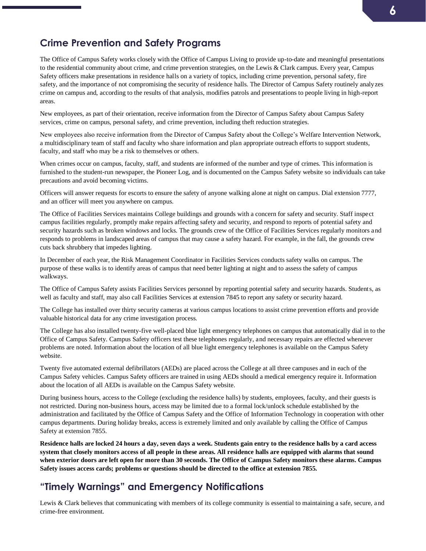# **6**

# <span id="page-5-0"></span>**Crime Prevention and Safety Programs**

The Office of Campus Safety works closely with the Office of Campus Living to provide up-to-date and meaningful presentations to the residential community about crime, and crime prevention strategies, on the Lewis & Clark campus. Every year, Campus Safety officers make presentations in residence halls on a variety of topics, including crime prevention, personal safety, fire safety, and the importance of not compromising the security of residence halls. The Director of Campus Safety routinely analyzes crime on campus and, according to the results of that analysis, modifies patrols and presentations to people living in high-report areas.

New employees, as part of their orientation, receive information from the Director of Campus Safety about Campus Safety services, crime on campus, personal safety, and crime prevention, including theft reduction strategies.

New employees also receive information from the Director of Campus Safety about the College's Welfare Intervention Network, a multidisciplinary team of staff and faculty who share information and plan appropriate outreach efforts to support students, faculty, and staff who may be a risk to themselves or others.

When crimes occur on campus, faculty, staff, and students are informed of the number and type of crimes. This information is furnished to the student-run newspaper, the Pioneer Log, and is documented on the Campus Safety website so individuals can take precautions and avoid becoming victims.

Officers will answer requests for escorts to ensure the safety of anyone walking alone at night on campus. Dial extension 7777, and an officer will meet you anywhere on campus.

The Office of Facilities Services maintains College buildings and grounds with a concern for safety and security. Staff inspect campus facilities regularly, promptly make repairs affecting safety and security, and respond to reports of potential safety and security hazards such as broken windows and locks. The grounds crew of the Office of Facilities Services regularly monitors and responds to problems in landscaped areas of campus that may cause a safety hazard. For example, in the fall, the grounds crew cuts back shrubbery that impedes lighting.

In December of each year, the Risk Management Coordinator in Facilities Services conducts safety walks on campus. The purpose of these walks is to identify areas of campus that need better lighting at night and to assess the safety of campus walkways.

The Office of Campus Safety assists Facilities Services personnel by reporting potential safety and security hazards. Students, as well as faculty and staff, may also call Facilities Services at extension 7845 to report any safety or security hazard.

The College has installed over thirty security cameras at various campus locations to assist crime prevention efforts and provide valuable historical data for any crime investigation process.

The College has also installed twenty-five well-placed blue light emergency telephones on campus that automatically dial in to the Office of Campus Safety. Campus Safety officers test these telephones regularly, and necessary repairs are effected whenever problems are noted. Information about the location of all blue light emergency telephones is available on the Campus Safety website.

Twenty five automated external defibrillators (AEDs) are placed across the College at all three campuses and in each of the Campus Safety vehicles. Campus Safety officers are trained in using AEDs should a medical emergency require it. Information about the location of all AEDs is available on the Campus Safety website.

During business hours, access to the College (excluding the residence halls) by students, employees, faculty, and their guests is not restricted. During non-business hours, access may be limited due to a formal lock/unlock schedule established by the administration and facilitated by the Office of Campus Safety and the Office of Information Technology in cooperation with other campus departments. During holiday breaks, access is extremely limited and only available by calling the Office of Campus Safety at extension 7855.

**Residence halls are locked 24 hours a day, seven days a week. Students gain entry to the residence halls by a card access system that closely monitors access of all people in these areas. All residence halls are equipped with alarms that sound when exterior doors are left open for more than 30 seconds. The Office of Campus Safety monitors these alarms. Campus Safety issues access cards; problems or questions should be directed to the office at extension 7855.**

# <span id="page-5-1"></span>**"Timely Warnings" and Emergency Notifications**

Lewis & Clark believes that communicating with members of its college community is essential to maintaining a safe, secure, and crime-free environment.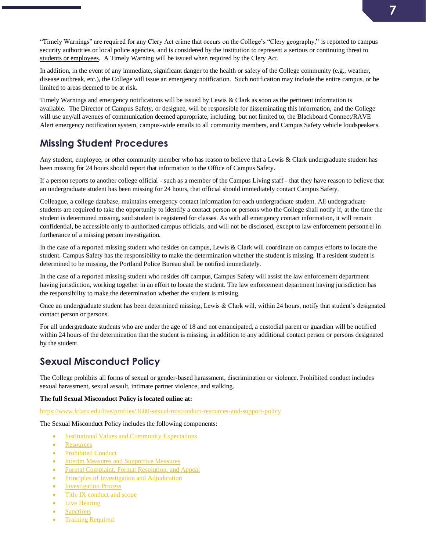"Timely Warnings" are required for any Clery Act crime that occurs on the College's "Clery geography," is reported to campus security authorities or local police agencies, and is considered by the institution to represent a serious or continuing threat to students or employees. A Timely Warning will be issued when required by the Clery Act.

In addition, in the event of any immediate, significant danger to the health or safety of the College community (e.g., weather, disease outbreak, etc.), the College will issue an emergency notification. Such notification may include the entire campus, or be limited to areas deemed to be at risk.

Timely Warnings and emergency notifications will be issued by Lewis & Clark as soon as the pertinent information is available. The Director of Campus Safety, or designee, will be responsible for disseminating this information, and the College will use any/all avenues of communication deemed appropriate, including, but not limited to, the Blackboard Connect/RAVE Alert emergency notification system, campus-wide emails to all community members, and Campus Safety vehicle loudspeakers.

# <span id="page-6-0"></span>**Missing Student Procedures**

Any student, employee, or other community member who has reason to believe that a Lewis & Clark undergraduate student has been missing for 24 hours should report that information to the Office of Campus Safety.

If a person reports to another college official - such as a member of the Campus Living staff - that they have reason to believe that an undergraduate student has been missing for 24 hours, that official should immediately contact Campus Safety.

Colleague, a college database, maintains emergency contact information for each undergraduate student. All undergraduate students are required to take the opportunity to identify a contact person or persons who the College shall notify if, at the time the student is determined missing, said student is registered for classes. As with all emergency contact information, it will remain confidential, be accessible only to authorized campus officials, and will not be disclosed, except to law enforcement personnel in furtherance of a missing person investigation.

In the case of a reported missing student who resides on campus, Lewis & Clark will coordinate on campus efforts to locate the student. Campus Safety has the responsibility to make the determination whether the student is missing. If a resident student is determined to be missing, the Portland Police Bureau shall be notified immediately.

In the case of a reported missing student who resides off campus, Campus Safety will assist the law enforcement department having jurisdiction, working together in an effort to locate the student. The law enforcement department having jurisdiction has the responsibility to make the determination whether the student is missing.

Once an undergraduate student has been determined missing, Lewis & Clark will, within 24 hours, notify that student's designated contact person or persons.

For all undergraduate students who are under the age of 18 and not emancipated, a custodial parent or guardian will be notified within 24 hours of the determination that the student is missing, in addition to any additional contact person or persons designated by the student.

# <span id="page-6-1"></span>**Sexual Misconduct Policy**

The College prohibits all forms of sexual or gender-based harassment, discrimination or violence. Prohibited conduct includes sexual harassment, sexual assault, intimate partner violence, and stalking.

#### **The full Sexual Misconduct Policy is located online at:**

<https://www.lclark.edu/live/profiles/3680-sexual-misconduct-resources-and-support-policy>

The Sexual Misconduct Policy includes the following components:

- **[Institutional Values and Community Expectations](https://www.lclark.edu/live/profiles/13281-sexual-misconduct-policy-section-i-institutional)**
- [Resources](https://www.lclark.edu/live/profiles/13282-sexual-misconduct-policy-section-ii-resources)
- [Prohibited Conduct](https://www.lclark.edu/live/profiles/13283-sexual-misconduct-policy-section-iii-prohibited)
- [Interim Measures and Supportive Measures](https://www.lclark.edu/live/profiles/13284-sexual-misconduct-policy-section-iv-interim)
- [Formal Complaint, Formal Resolution, and Appeal](https://www.lclark.edu/live/profiles/13285-sexual-misconduct-policy-section-v-formal)
- [Principles of Investigation and Adjudication](https://www.lclark.edu/live/profiles/13286-sexual-misconduct-policy-section-vi-principles-of)
- [Investigation Process](https://www.lclark.edu/live/profiles/13287-sexual-misconduct-policy-section-vii-investigation)
- [Title IX conduct and scope](https://www.lclark.edu/live/profiles/13288-sexual-misconduct-policy-section-viii-title-ix)
- [Live Hearing](https://www.lclark.edu/live/profiles/13289-sexual-misconduct-policy-section-ix-live-hearing)
- [Sanctions](https://www.lclark.edu/live/profiles/13290-sexual-misconduct-policy-section-x-sanctions)
- **[Training Required](https://www.lclark.edu/live/profiles/13291-sexual-misconduct-policy-section-xi-training)**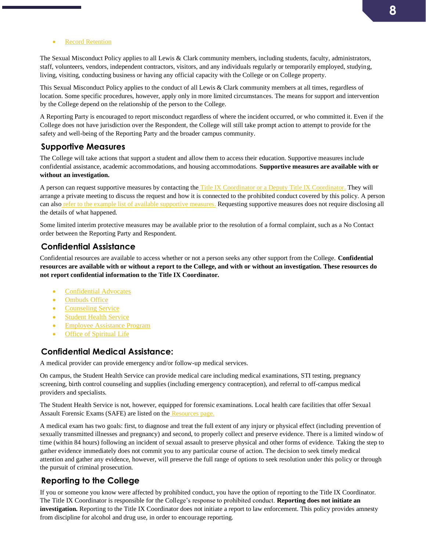• [Record Retention](https://www.lclark.edu/live/profiles/13292-sexual-misconduct-policy-section-xii-records)

The Sexual Misconduct Policy applies to all Lewis & Clark community members, including students, faculty, administrators, staff, volunteers, vendors, independent contractors, visitors, and any individuals regularly or temporarily employed, studying, living, visiting, conducting business or having any official capacity with the College or on College property.

This Sexual Misconduct Policy applies to the conduct of all Lewis & Clark community members at all times, regardless of location. Some specific procedures, however, apply only in more limited circumstances. The means for support and intervention by the College depend on the relationship of the person to the College.

A Reporting Party is encouraged to report misconduct regardless of where the incident occurred, or who committed it. Even if the College does not have jurisdiction over the Respondent, the College will still take prompt action to attempt to provide for the safety and well-being of the Reporting Party and the broader campus community.

#### **Supportive Measures**

The College will take actions that support a student and allow them to access their education. Supportive measures include confidential assistance, academic accommodations, and housing accommodations. **Supportive measures are available with or without an investigation.**

A person can request supportive measures by contacting the [Title IX Coordinator or a Deputy Title IX Coordinator.](https://www.lclark.edu/about/title_ix_compliance/) They will arrange a private meeting to discuss the request and how it is connected to the prohibited conduct covered by this policy. A person can also [refer to the example list of available supportive measures.](https://www.lclark.edu/live/profiles/13284-sexual-misconduct-policy-section-iv-interim) Requesting supportive measures does not require disclosing all the details of what happened.

Some limited interim protective measures may be available prior to the resolution of a formal complaint, such as a No Contact order between the Reporting Party and Respondent.

#### **Confidential Assistance**

Confidential resources are available to access whether or not a person seeks any other support from the College. **Confidential resources are available with or without a report to the College, and with or without an investigation. These resources do not report confidential information to the Title IX Coordinator.**

- [Confidential Advocates](https://www.lclark.edu/healthy-relationships/response/confidential-advocates/)
- [Ombuds Office](https://www.lclark.edu/offices/ombuds/)
- [Counseling Service](https://www.lclark.edu/offices/counseling_service/)
- [Student Health Service](https://www.lclark.edu/offices/health_service/)
- [Employee Assistance Program](https://www.lclark.edu/offices/human_resources/employee_resources/benefits/employee_assistance_program/)
- [Office of Spiritual Life](https://www.lclark.edu/offices/spiritual_life/)

#### **Confidential Medical Assistance:**

A medical provider can provide emergency and/or follow-up medical services.

On campus, the Student Health Service can provide medical care including medical examinations, STI testing, pregnancy screening, birth control counseling and supplies (including emergency contraception), and referral to off-campus medical providers and specialists.

The Student Health Service is not, however, equipped for forensic examinations. Local health care facilities that offer Sexual Assault Forensic Exams (SAFE) are listed on the [Resources page.](https://www.lclark.edu/live/profiles/13282-sexual-misconduct-policy-section-ii-resources)

A medical exam has two goals: first, to diagnose and treat the full extent of any injury or physical effect (including prevention of sexually transmitted illnesses and pregnancy) and second, to properly collect and preserve evidence. There is a limited window of time (within 84 hours) following an incident of sexual assault to preserve physical and other forms of evidence. Taking the step to gather evidence immediately does not commit you to any particular course of action. The decision to seek timely medical attention and gather any evidence, however, will preserve the full range of options to seek resolution under this policy or through the pursuit of criminal prosecution.

#### **Reporting to the College**

If you or someone you know were affected by prohibited conduct, you have the option of reporting to the Title IX Coordinator. The Title IX Coordinator is responsible for the College's response to prohibited conduct. **Reporting does not initiate an investigation.** Reporting to the Title IX Coordinator does not initiate a report to law enforcement. This policy provides amnesty from discipline for alcohol and drug use, in order to encourage reporting.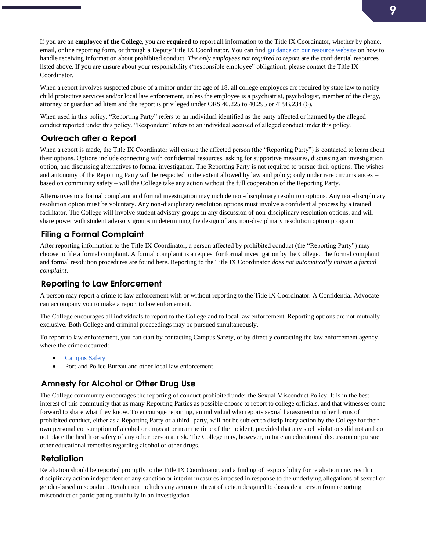If you are an **employee of the College**, you are **required** to report all information to the Title IX Coordinator, whether by phone, email, online reporting form, or through a Deputy Title IX Coordinator. You can find [guidance on our resource website](https://www.lclark.edu/healthy-relationships/resources-for-staff-faculty/) on how to handle receiving information about prohibited conduct. *The only employees not required to report* are the confidential resources listed above. If you are unsure about your responsibility ("responsible employee" obligation), please contact the Title IX Coordinator.

When a report involves suspected abuse of a minor under the age of 18, all college employees are required by state law to notify child protective services and/or local law enforcement, unless the employee is a psychiatrist, psychologist, member of the clergy, attorney or guardian ad litem and the report is privileged under ORS 40.225 to 40.295 or 419B.234 (6).

When used in this policy, "Reporting Party" refers to an individual identified as the party affected or harmed by the alleged conduct reported under this policy. "Respondent" refers to an individual accused of alleged conduct under this policy.

#### **Outreach after a Report**

When a report is made, the Title IX Coordinator will ensure the affected person (the "Reporting Party") is contacted to learn about their options. Options include connecting with confidential resources, asking for supportive measures, discussing an investigation option, and discussing alternatives to formal investigation. The Reporting Party is not required to pursue their options. The wishes and autonomy of the Reporting Party will be respected to the extent allowed by law and policy; only under rare circumstances – based on community safety – will the College take any action without the full cooperation of the Reporting Party.

Alternatives to a formal complaint and formal investigation may include non-disciplinary resolution options. Any non-disciplinary resolution option must be voluntary. Any non-disciplinary resolution options must involve a confidential process by a trained facilitator. The College will involve student advisory groups in any discussion of non-disciplinary resolution options, and will share power with student advisory groups in determining the design of any non-disciplinary resolution option program.

#### **Filing a Formal Complaint**

After reporting information to the Title IX Coordinator, a person affected by prohibited conduct (the "Reporting Party") may choose to file a formal complaint. A formal complaint is a request for formal investigation by the College. The formal complaint and formal resolution procedures are found here. Reporting to the Title IX Coordinator *does not automatically initiate a formal complaint*.

#### **Reporting to Law Enforcement**

A person may report a crime to law enforcement with or without reporting to the Title IX Coordinator. A Confidential Advocate can accompany you to make a report to law enforcement.

The College encourages all individuals to report to the College and to local law enforcement. Reporting options are not mutually exclusive. Both College and criminal proceedings may be pursued simultaneously.

To report to law enforcement, you can start by contacting Campus Safety, or by directly contacting the law enforcement agency where the crime occurred:

- [Campus Safety](https://www.lclark.edu/about/campus_safety/)
- Portland Police Bureau and other local law enforcement

#### **Amnesty for Alcohol or Other Drug Use**

The College community encourages the reporting of conduct prohibited under the Sexual Misconduct Policy. It is in the best interest of this community that as many Reporting Parties as possible choose to report to college officials, and that witness es come forward to share what they know. To encourage reporting, an individual who reports sexual harassment or other forms of prohibited conduct, either as a Reporting Party or a third- party, will not be subject to disciplinary action by the College for their own personal consumption of alcohol or drugs at or near the time of the incident, provided that any such violations did not and do not place the health or safety of any other person at risk. The College may, however, initiate an educational discussion or pursue other educational remedies regarding alcohol or other drugs.

#### **Retaliation**

Retaliation should be reported promptly to the Title IX Coordinator, and a finding of responsibility for retaliation may result in disciplinary action independent of any sanction or interim measures imposed in response to the underlying allegations of sexual or gender-based misconduct. Retaliation includes any action or threat of action designed to dissuade a person from reporting misconduct or participating truthfully in an investigation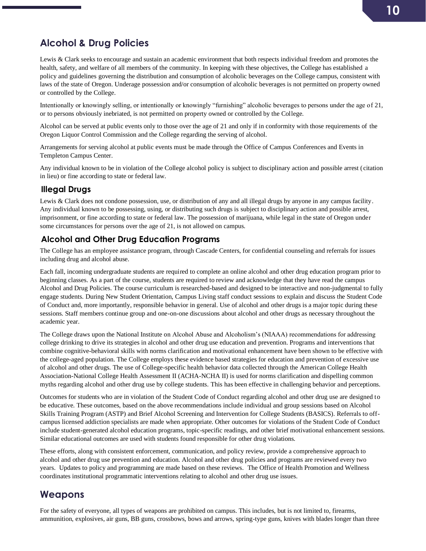# <span id="page-9-0"></span>**Alcohol & Drug Policies**

Lewis & Clark seeks to encourage and sustain an academic environment that both respects individual freedom and promotes the health, safety, and welfare of all members of the community. In keeping with these objectives, the College has established a policy and guidelines governing the distribution and consumption of alcoholic beverages on the College campus, consistent with laws of the state of Oregon. Underage possession and/or consumption of alcoholic beverages is not permitted on property owned or controlled by the College.

Intentionally or knowingly selling, or intentionally or knowingly "furnishing" alcoholic beverages to persons under the age of 21, or to persons obviously inebriated, is not permitted on property owned or controlled by the College.

Alcohol can be served at public events only to those over the age of 21 and only if in conformity with those requirements of the Oregon Liquor Control Commission and the College regarding the serving of alcohol.

Arrangements for serving alcohol at public events must be made through the Office of Campus Conferences and Events in Templeton Campus Center.

Any individual known to be in violation of the College alcohol policy is subject to disciplinary action and possible arrest (citation in lieu) or fine according to state or federal law.

#### **Illegal Drugs**

Lewis & Clark does not condone possession, use, or distribution of any and all illegal drugs by anyone in any campus facility. Any individual known to be possessing, using, or distributing such drugs is subject to disciplinary action and possible arrest, imprisonment, or fine according to state or federal law. The possession of marijuana, while legal in the state of Oregon under some circumstances for persons over the age of 21, is not allowed on campus.

#### **Alcohol and Other Drug Education Programs**

The College has an employee assistance program, through Cascade Centers, for confidential counseling and referrals for issues including drug and alcohol abuse.

Each fall, incoming undergraduate students are required to complete an online alcohol and other drug education program prior to beginning classes. As a part of the course, students are required to review and acknowledge that they have read the campus Alcohol and Drug Policies. The course curriculum is researched-based and designed to be interactive and non-judgmental to fully engage students. During New Student Orientation, Campus Living staff conduct sessions to explain and discuss the Student Code of Conduct and, more importantly, responsible behavior in general. Use of alcohol and other drugs is a major topic during these sessions. Staff members continue group and one-on-one discussions about alcohol and other drugs as necessary throughout the academic year.

The College draws upon the National Institute on Alcohol Abuse and Alcoholism's (NIAAA) recommendations for addressing college drinking to drive its strategies in alcohol and other drug use education and prevention. Programs and interventions that combine cognitive-behavioral skills with norms clarification and motivational enhancement have been shown to be effective with the college-aged population. The College employs these evidence based strategies for education and prevention of excessive use of alcohol and other drugs. The use of College-specific health behavior data collected through the American College Health Association-National College Health Assessment II (ACHA-NCHA II) is used for norms clarification and dispelling common myths regarding alcohol and other drug use by college students. This has been effective in challenging behavior and perceptions.

Outcomes for students who are in violation of the Student Code of Conduct regarding alcohol and other drug use are designed to be educative. These outcomes, based on the above recommendations include individual and group sessions based on Alcohol Skills Training Program (ASTP) and Brief Alcohol Screening and Intervention for College Students (BASICS). Referrals to offcampus licensed addiction specialists are made when appropriate. Other outcomes for violations of the Student Code of Conduct include student-generated alcohol education programs, topic-specific readings, and other brief motivational enhancement sessions. Similar educational outcomes are used with students found responsible for other drug violations.

These efforts, along with consistent enforcement, communication, and policy review, provide a comprehensive approach to alcohol and other drug use prevention and education. Alcohol and other drug policies and programs are reviewed every two years. Updates to policy and programming are made based on these reviews. The Office of Health Promotion and Wellness coordinates institutional programmatic interventions relating to alcohol and other drug use issues.

### <span id="page-9-1"></span>**Weapons**

For the safety of everyone, all types of weapons are prohibited on campus. This includes, but is not limited to, firearms, ammunition, explosives, air guns, BB guns, crossbows, bows and arrows, spring-type guns, knives with blades longer than three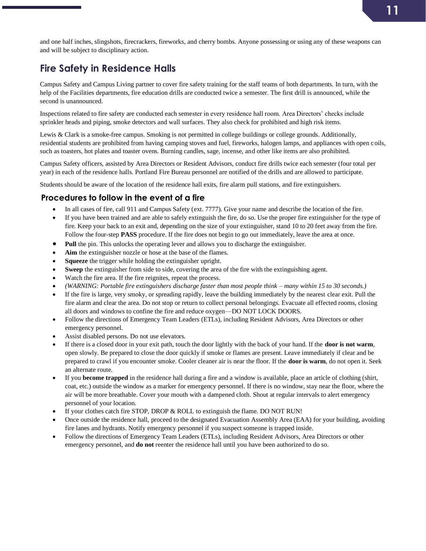and one half inches, slingshots, firecrackers, fireworks, and cherry bombs. Anyone possessing or using any of these weapons can and will be subject to disciplinary action.

# <span id="page-10-0"></span>**Fire Safety in Residence Halls**

Campus Safety and Campus Living partner to cover fire safety training for the staff teams of both departments. In turn, with the help of the Facilities departments, fire education drills are conducted twice a semester. The first drill is announced, while the second is unannounced.

Inspections related to fire safety are conducted each semester in every residence hall room. Area Directors' checks include sprinkler heads and piping, smoke detectors and wall surfaces. They also check for prohibited and high risk items.

Lewis & Clark is a smoke-free campus. Smoking is not permitted in college buildings or college grounds. Additionally, residential students are prohibited from having camping stoves and fuel, fireworks, halogen lamps, and appliances with open coils, such as toasters, hot plates and toaster ovens. Burning candles, sage, incense, and other like items are also prohibited.

Campus Safety officers, assisted by Area Directors or Resident Advisors, conduct fire drills twice each semester (four total per year) in each of the residence halls. Portland Fire Bureau personnel are notified of the drills and are allowed to participate.

Students should be aware of the location of the residence hall exits, fire alarm pull stations, and fire extinguishers.

#### **Procedures to follow in the event of a fire**

- In all cases of fire, call 911 and Campus Safety (ext. 7777). Give your name and describe the location of the fire.
- If you have been trained and are able to safely extinguish the fire, do so. Use the proper fire extinguisher for the type of fire. Keep your back to an exit and, depending on the size of your extinguisher, stand 10 to 20 feet away from the fire. Follow the four-step **PASS** procedure. If the fire does not begin to go out immediately, leave the area at once.
- **Pull** the pin. This unlocks the operating lever and allows you to discharge the extinguisher.
- Aim the extinguisher nozzle or hose at the base of the flames.
- **Squeeze** the trigger while holding the extinguisher upright.
- **Sweep** the extinguisher from side to side, covering the area of the fire with the extinguishing agent.
- Watch the fire area. If the fire reignites, repeat the process.
- *(WARNING: Portable fire extinguishers discharge faster than most people think – many within 15 to 30 seconds.)*
- If the fire is large, very smoky, or spreading rapidly, leave the building immediately by the nearest clear exit. Pull the fire alarm and clear the area. Do not stop or return to collect personal belongings. Evacuate all effected rooms, closing all doors and windows to confine the fire and reduce oxygen—DO NOT LOCK DOORS.
- Follow the directions of Emergency Team Leaders (ETLs), including Resident Advisors, Area Directors or other emergency personnel.
- Assist disabled persons. Do not use elevators.
- If there is a closed door in your exit path, touch the door lightly with the back of your hand. If the **door is not warm**, open slowly. Be prepared to close the door quickly if smoke or flames are present. Leave immediately if clear and be prepared to crawl if you encounter smoke. Cooler cleaner air is near the floor. If the **door is warm**, do not open it. Seek an alternate route.
- If you **become trapped** in the residence hall during a fire and a window is available, place an article of clothing (shirt, coat, etc.) outside the window as a marker for emergency personnel. If there is no window, stay near the floor, where the air will be more breathable. Cover your mouth with a dampened cloth. Shout at regular intervals to alert emergency personnel of your location.
- If your clothes catch fire STOP, DROP & ROLL to extinguish the flame. DO NOT RUN!
- Once outside the residence hall, proceed to the designated Evacuation Assembly Area (EAA) for your building, avoiding fire lanes and hydrants. Notify emergency personnel if you suspect someone is trapped inside.
- Follow the directions of Emergency Team Leaders (ETLs), including Resident Advisors, Area Directors or other emergency personnel, and **do not** reenter the residence hall until you have been authorized to do so.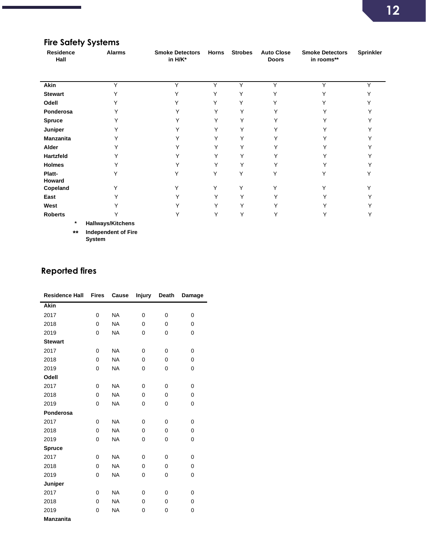# **Fire Safety Systems**

г

| Residence<br>Hall | <b>Alarms</b>            | <b>Smoke Detectors</b><br>in H/K* | <b>Horns</b> | <b>Strobes</b> | <b>Auto Close</b><br><b>Doors</b> | <b>Smoke Detectors</b><br>in rooms** | Sprinkler    |
|-------------------|--------------------------|-----------------------------------|--------------|----------------|-----------------------------------|--------------------------------------|--------------|
| Akin              | Y                        | Y                                 | Υ            | Y              | Y                                 | Y                                    | $\checkmark$ |
| <b>Stewart</b>    |                          |                                   |              | Υ              |                                   |                                      |              |
| Odell             |                          |                                   |              | Y              |                                   |                                      |              |
| Ponderosa         |                          |                                   |              | Υ              |                                   |                                      |              |
| <b>Spruce</b>     |                          |                                   |              | Υ              |                                   |                                      |              |
| Juniper           |                          |                                   | v            | Υ              |                                   |                                      |              |
| <b>Manzanita</b>  |                          |                                   | Y            | Υ              |                                   |                                      |              |
| Alder             |                          |                                   | Υ            | Υ              |                                   |                                      |              |
| Hartzfeld         |                          |                                   | Y            | Υ              |                                   |                                      |              |
| Holmes            |                          |                                   |              | Υ              |                                   |                                      |              |
| Platt-<br>Howard  |                          |                                   |              | Υ              |                                   |                                      |              |
| Copeland          | Υ                        | v                                 | Υ            | Y              | v                                 | Υ                                    |              |
| East              |                          |                                   | Y            | Υ              |                                   |                                      |              |
| West              |                          |                                   | v            | Υ              |                                   |                                      |              |
| <b>Roberts</b>    |                          | Υ                                 | Υ            | Υ              |                                   |                                      |              |
| $\ast$            | <b>Hallways/Kitchens</b> |                                   |              |                |                                   |                                      |              |

**\*\* Independent of Fire System**

# **Reported fires**

| <b>Residence Hall</b> | <b>Fires</b> | Cause     | <b>Injury</b> | Death    | Damage |
|-----------------------|--------------|-----------|---------------|----------|--------|
| <b>Akin</b>           |              |           |               |          |        |
| 2017                  | 0            | <b>NA</b> | $\Omega$      | 0        | 0      |
| 2018                  | 0            | <b>NA</b> | $\Omega$      | $\Omega$ | 0      |
| 2019                  | 0            | <b>NA</b> | $\Omega$      | 0        | 0      |
| <b>Stewart</b>        |              |           |               |          |        |
| 2017                  | 0            | <b>NA</b> | $\Omega$      | 0        | 0      |
| 2018                  | 0            | <b>NA</b> | 0             | 0        | 0      |
| 2019                  | 0            | <b>NA</b> | 0             | 0        | 0      |
| Odell                 |              |           |               |          |        |
| 2017                  | 0            | <b>NA</b> | $\Omega$      | 0        | 0      |
| 2018                  | 0            | <b>NA</b> | $\Omega$      | $\Omega$ | 0      |
| 2019                  | 0            | <b>NA</b> | $\Omega$      | 0        | 0      |
| Ponderosa             |              |           |               |          |        |
| 2017                  | 0            | <b>NA</b> | $\Omega$      | 0        | 0      |
| 2018                  | 0            | <b>NA</b> | 0             | 0        | 0      |
| 2019                  | 0            | <b>NA</b> | 0             | 0        | 0      |
| <b>Spruce</b>         |              |           |               |          |        |
| 2017                  | 0            | <b>NA</b> | 0             | 0        | 0      |
| 2018                  | 0            | <b>NA</b> | 0             | 0        | 0      |
| 2019                  | 0            | <b>NA</b> | 0             | 0        | 0      |
| Juniper               |              |           |               |          |        |
| 2017                  | 0            | <b>NA</b> | 0             | 0        | 0      |
| 2018                  | 0            | <b>NA</b> | $\Omega$      | 0        | 0      |
| 2019                  | 0            | <b>NA</b> | 0             | 0        | 0      |
| <b>Manzanita</b>      |              |           |               |          |        |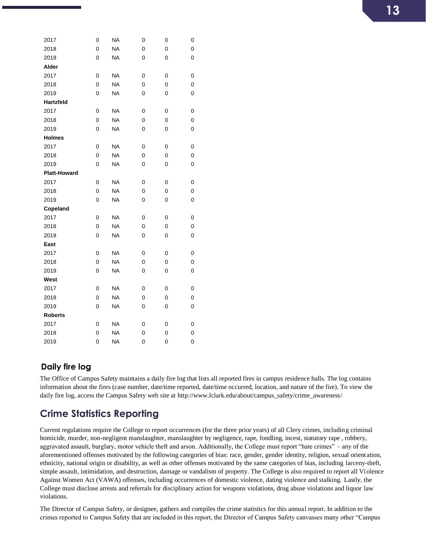| 2017                | 0              | NA        | 0 | 0 | 0 |
|---------------------|----------------|-----------|---|---|---|
| 2018                | 0              | <b>NA</b> | 0 | 0 | 0 |
| 2019                | 0              | <b>NA</b> | 0 | 0 | 0 |
| Alder               |                |           |   |   |   |
| 2017                | 0              | <b>NA</b> | 0 | 0 | 0 |
| 2018                | 0              | <b>NA</b> | 0 | 0 | 0 |
| 2019                | 0              | <b>NA</b> | 0 | 0 | 0 |
| <b>Hartzfeld</b>    |                |           |   |   |   |
| 2017                | 0              | <b>NA</b> | 0 | 0 | 0 |
| 2018                | 0              | <b>NA</b> | 0 | 0 | 0 |
| 2019                | 0              | <b>NA</b> | 0 | 0 | 0 |
| <b>Holmes</b>       |                |           |   |   |   |
| 2017                | 0              | <b>NA</b> | 0 | 0 | 0 |
| 2018                | 0              | <b>NA</b> | 0 | 0 | 0 |
| 2019                | 0              | <b>NA</b> | 0 | 0 | 0 |
| <b>Platt-Howard</b> |                |           |   |   |   |
| 2017                | 0              | <b>NA</b> | 0 | 0 | 0 |
| 2018                | 0              | <b>NA</b> | 0 | 0 | 0 |
| 2019                | 0              | <b>NA</b> | 0 | 0 | 0 |
| Copeland            |                |           |   |   |   |
| 2017                | 0              | <b>NA</b> | 0 | 0 | 0 |
| 2018                | 0              | <b>NA</b> | 0 | 0 | 0 |
| 2019                | 0              | NA        | 0 | 0 | 0 |
| East                |                |           |   |   |   |
| 2017                | 0              | <b>NA</b> | 0 | 0 | 0 |
| 2018                | 0              | <b>NA</b> | 0 | 0 | 0 |
| 2019                | 0              | <b>NA</b> | 0 | 0 | 0 |
| West                |                |           |   |   |   |
| 2017                | 0              | <b>NA</b> | 0 | 0 | 0 |
| 2018                | 0              | <b>NA</b> | 0 | 0 | 0 |
| 2019                | 0              | <b>NA</b> | 0 | 0 | 0 |
| <b>Roberts</b>      |                |           |   |   |   |
| 2017                | 0              | <b>NA</b> | 0 | 0 | 0 |
| 2018                | $\overline{0}$ | <b>NA</b> | 0 | 0 | 0 |
| 2019                | 0              | <b>NA</b> | 0 | 0 | 0 |

#### **Daily fire log**

The Office of Campus Safety maintains a daily fire log that lists all reported fires in campus residence halls. The log contains information about the fires (case number, date/time reported, date/time occurred, location, and nature of the fire). To view the daily fire log, access the Campus Safety web site at http://www.lclark.edu/about/campus\_safety/crime\_awareness/

# <span id="page-12-0"></span>**Crime Statistics Reporting**

Current regulations require the College to report occurrences (for the three prior years) of all Clery crimes, including criminal homicide, murder, non-negligent manslaughter, manslaughter by negligence, rape, fondling, incest, statutory rape , robbery, aggravated assault, burglary, motor vehicle theft and arson. Additionally, the College must report "hate crimes" – any of the aforementioned offenses motivated by the following categories of bias: race, gender, gender identity, religion, sexual orient ation, ethnicity, national origin or disability, as well as other offenses motivated by the same categories of bias, including larceny-theft, simple assault, intimidation, and destruction, damage or vandalism of property. The College is also required to report all Violence Against Women Act (VAWA) offenses, including occurrences of domestic violence, dating violence and stalking. Lastly, the College must disclose arrests and referrals for disciplinary action for weapons violations, drug abuse violations and liquor law violations.

The Director of Campus Safety, or designee, gathers and compiles the crime statistics for this annual report. In addition to the crimes reported to Campus Safety that are included in this report, the Director of Campus Safety canvasses many other "Campus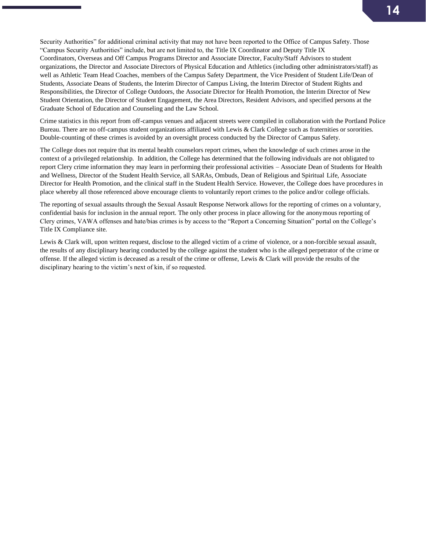Security Authorities" for additional criminal activity that may not have been reported to the Office of Campus Safety. Those "Campus Security Authorities" include, but are not limited to, the Title IX Coordinator and Deputy Title IX Coordinators, Overseas and Off Campus Programs Director and Associate Director, Faculty/Staff Advisors to student organizations, the Director and Associate Directors of Physical Education and Athletics (including other administrators/staff) as well as Athletic Team Head Coaches, members of the Campus Safety Department, the Vice President of Student Life/Dean of Students, Associate Deans of Students, the Interim Director of Campus Living, the Interim Director of Student Rights and Responsibilities, the Director of College Outdoors, the Associate Director for Health Promotion, the Interim Director of New Student Orientation, the Director of Student Engagement, the Area Directors, Resident Advisors, and specified persons at the Graduate School of Education and Counseling and the Law School.

Crime statistics in this report from off-campus venues and adjacent streets were compiled in collaboration with the Portland Police Bureau. There are no off-campus student organizations affiliated with Lewis & Clark College such as fraternities or sororities. Double-counting of these crimes is avoided by an oversight process conducted by the Director of Campus Safety.

The College does not require that its mental health counselors report crimes, when the knowledge of such crimes arose in the context of a privileged relationship. In addition, the College has determined that the following individuals are not obligated to report Clery crime information they may learn in performing their professional activities – Associate Dean of Students for Health and Wellness, Director of the Student Health Service, all SARAs, Ombuds, Dean of Religious and Spiritual Life, Associate Director for Health Promotion, and the clinical staff in the Student Health Service. However, the College does have procedures in place whereby all those referenced above encourage clients to voluntarily report crimes to the police and/or college officials.

The reporting of sexual assaults through the Sexual Assault Response Network allows for the reporting of crimes on a voluntary, confidential basis for inclusion in the annual report. The only other process in place allowing for the anonymous reporting of Clery crimes, VAWA offenses and hate/bias crimes is by access to the "Report a Concerning Situation" portal on the College's Title IX Compliance site.

Lewis & Clark will, upon written request, disclose to the alleged victim of a crime of violence, or a non-forcible sexual assault, the results of any disciplinary hearing conducted by the college against the student who is the alleged perpetrator of the crime or offense. If the alleged victim is deceased as a result of the crime or offense, Lewis & Clark will provide the results of the disciplinary hearing to the victim's next of kin, if so requested.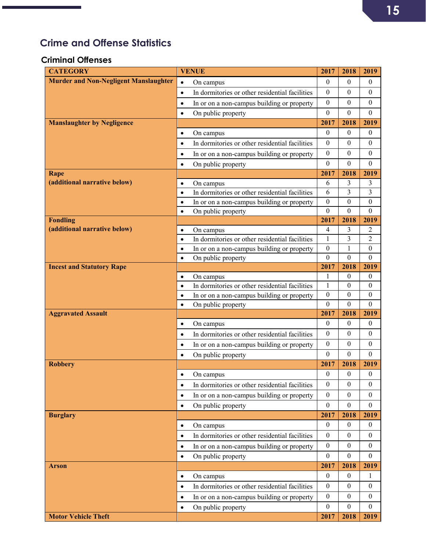# <span id="page-14-0"></span>**Crime and Offense Statistics**

#### **Criminal Offenses**

| <b>CATEGORY</b>                              | <b>VENUE</b>                                                | 2017                     | 2018                   | 2019                 |
|----------------------------------------------|-------------------------------------------------------------|--------------------------|------------------------|----------------------|
| <b>Murder and Non-Negligent Manslaughter</b> | $\bullet$<br>On campus                                      | $\theta$                 | $\mathbf{0}$           | $\boldsymbol{0}$     |
|                                              | In dormitories or other residential facilities<br>$\bullet$ | $\boldsymbol{0}$         | $\boldsymbol{0}$       | $\boldsymbol{0}$     |
|                                              | In or on a non-campus building or property<br>$\bullet$     | $\mathbf{0}$             | $\theta$               | $\boldsymbol{0}$     |
|                                              | On public property<br>$\bullet$                             | $\boldsymbol{0}$         | $\theta$               | $\boldsymbol{0}$     |
| <b>Manslaughter by Negligence</b>            |                                                             | 2017                     | 2018                   | 2019                 |
|                                              | On campus<br>$\bullet$                                      | $\mathbf{0}$             | $\theta$               | $\overline{0}$       |
|                                              | In dormitories or other residential facilities<br>$\bullet$ | $\mathbf{0}$             | $\mathbf{0}$           | $\boldsymbol{0}$     |
|                                              | In or on a non-campus building or property<br>$\bullet$     | $\theta$                 | $\Omega$               | $\mathbf{0}$         |
|                                              | On public property<br>$\bullet$                             | $\mathbf{0}$             | $\mathbf{0}$           | $\boldsymbol{0}$     |
| Rape                                         |                                                             | 2017                     | 2018                   | 2019                 |
| (additional narrative below)                 | On campus<br>$\bullet$                                      | 6                        | 3                      | 3                    |
|                                              | In dormitories or other residential facilities<br>$\bullet$ | 6                        | 3                      | $\overline{3}$       |
|                                              | In or on a non-campus building or property<br>$\bullet$     | $\boldsymbol{0}$         | $\theta$               | $\boldsymbol{0}$     |
|                                              | On public property<br>$\bullet$                             | $\mathbf{0}$             | $\theta$               | $\mathbf{0}$         |
| <b>Fondling</b>                              |                                                             | 2017                     | 2018                   | 2019                 |
| (additional narrative below)                 | On campus<br>$\bullet$                                      | $\overline{4}$           | 3                      | 2                    |
|                                              | In dormitories or other residential facilities<br>$\bullet$ | 1                        | 3                      | 2                    |
|                                              | In or on a non-campus building or property<br>$\bullet$     | $\boldsymbol{0}$         | $\mathbf{1}$           | $\boldsymbol{0}$     |
|                                              | On public property<br>$\bullet$                             | $\boldsymbol{0}$<br>2017 | $\overline{0}$<br>2018 | $\mathbf{0}$<br>2019 |
| <b>Incest and Statutory Rape</b>             | On campus<br>$\bullet$                                      | 1                        | $\boldsymbol{0}$       | $\boldsymbol{0}$     |
|                                              | In dormitories or other residential facilities<br>$\bullet$ | 1                        | $\theta$               | $\boldsymbol{0}$     |
|                                              | In or on a non-campus building or property<br>$\bullet$     | $\boldsymbol{0}$         | $\boldsymbol{0}$       | $\boldsymbol{0}$     |
|                                              | On public property<br>$\bullet$                             | $\theta$                 | $\theta$               | $\theta$             |
| <b>Aggravated Assault</b>                    |                                                             | 2017                     | 2018                   | 2019                 |
|                                              | On campus<br>$\bullet$                                      | $\theta$                 | $\theta$               | $\boldsymbol{0}$     |
|                                              | In dormitories or other residential facilities<br>$\bullet$ | $\boldsymbol{0}$         | $\theta$               | $\mathbf{0}$         |
|                                              | In or on a non-campus building or property<br>$\bullet$     | $\boldsymbol{0}$         | $\Omega$               | $\boldsymbol{0}$     |
|                                              | On public property<br>$\bullet$                             | $\theta$                 | $\theta$               | $\theta$             |
| <b>Robbery</b>                               |                                                             | 2017                     | 2018                   | 2019                 |
|                                              | On campus<br>$\bullet$                                      | $\boldsymbol{0}$         | $\theta$               | $\boldsymbol{0}$     |
|                                              | In dormitories or other residential facilities<br>$\bullet$ | $\mathbf{0}$             | $\theta$               | $\theta$             |
|                                              | In or on a non-campus building or property<br>$\bullet$     | $\boldsymbol{0}$         | $\boldsymbol{0}$       | $\boldsymbol{0}$     |
|                                              | On public property<br>$\bullet$                             | $\boldsymbol{0}$         | $\boldsymbol{0}$       | $\mathbf{0}$         |
| <b>Burglary</b>                              |                                                             | 2017                     | 2018                   | 2019                 |
|                                              | On campus<br>$\bullet$                                      | $\theta$                 | $\boldsymbol{0}$       | $\overline{0}$       |
|                                              | In dormitories or other residential facilities<br>$\bullet$ | $\boldsymbol{0}$         | $\boldsymbol{0}$       | $\mathbf{0}$         |
|                                              | In or on a non-campus building or property<br>$\bullet$     | $\boldsymbol{0}$         | $\boldsymbol{0}$       | $\mathbf{0}$         |
|                                              | On public property<br>$\bullet$                             | $\mathbf{0}$             | $\overline{0}$         | $\mathbf{0}$         |
| Arson                                        |                                                             | 2017                     | 2018                   | 2019                 |
|                                              | On campus<br>$\bullet$                                      | $\theta$                 | $\theta$               | 1                    |
|                                              | In dormitories or other residential facilities<br>$\bullet$ | $\theta$                 | $\theta$               | $\mathbf{0}$         |
|                                              | In or on a non-campus building or property<br>$\bullet$     | $\mathbf{0}$             | $\overline{0}$         | $\overline{0}$       |
|                                              | On public property<br>$\bullet$                             | $\theta$                 | $\boldsymbol{0}$       | $\mathbf{0}$         |
| <b>Motor Vehicle Theft</b>                   |                                                             | 2017                     | 2018                   | 2019                 |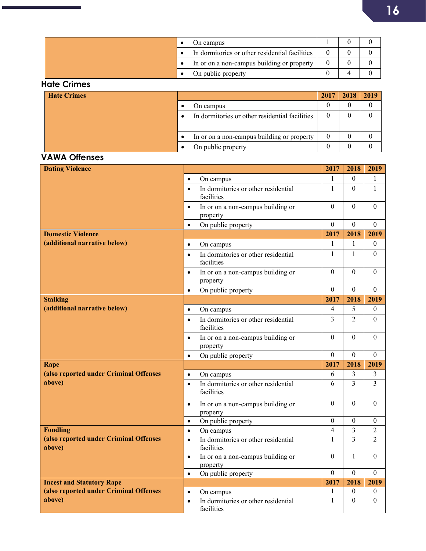|  | On campus                                      |  |  |
|--|------------------------------------------------|--|--|
|  | In dormitories or other residential facilities |  |  |
|  | In or on a non-campus building or property     |  |  |
|  | On public property                             |  |  |

#### **Hate Crimes**

÷,

п

| <b>Hate Crimes</b> |                                                | 2017 | 2018 | 2019 |
|--------------------|------------------------------------------------|------|------|------|
|                    | On campus                                      |      |      |      |
|                    | In dormitories or other residential facilities |      |      |      |
|                    |                                                |      |      |      |
|                    | In or on a non-campus building or property     |      |      |      |
|                    | On public property                             |      |      |      |

### **VAWA Offenses**

| <b>Dating Violence</b>                           |           |                                                   | 2017             | 2018             | 2019           |
|--------------------------------------------------|-----------|---------------------------------------------------|------------------|------------------|----------------|
|                                                  | $\bullet$ | On campus                                         | 1                | $\mathbf{0}$     | 1              |
|                                                  | $\bullet$ | In dormitories or other residential<br>facilities | 1                | $\overline{0}$   | 1              |
|                                                  | $\bullet$ | In or on a non-campus building or<br>property     | $\theta$         | $\Omega$         | $\theta$       |
|                                                  | $\bullet$ | On public property                                | $\mathbf{0}$     | $\overline{0}$   | $\overline{0}$ |
| <b>Domestic Violence</b>                         |           |                                                   | 2017             | 2018             | 2019           |
| (additional narrative below)                     | $\bullet$ | On campus                                         | 1                | 1                | $\overline{0}$ |
|                                                  | $\bullet$ | In dormitories or other residential<br>facilities | $\mathbf{1}$     | $\mathbf{1}$     | $\theta$       |
|                                                  | $\bullet$ | In or on a non-campus building or<br>property     | $\theta$         | $\Omega$         | $\theta$       |
|                                                  | $\bullet$ | On public property                                | $\Omega$         | $\Omega$         | $\Omega$       |
| <b>Stalking</b>                                  |           |                                                   | 2017             | 2018             | 2019           |
| (additional narrative below)                     | $\bullet$ | On campus                                         | $\overline{4}$   | 5                | $\overline{0}$ |
|                                                  | $\bullet$ | In dormitories or other residential<br>facilities | $\overline{3}$   | 2                | $\theta$       |
|                                                  | $\bullet$ | In or on a non-campus building or<br>property     | $\theta$         | $\theta$         | $\theta$       |
|                                                  | $\bullet$ | On public property                                | $\Omega$         | $\Omega$         | $\mathbf{0}$   |
| Rape                                             |           |                                                   | 2017             | 2018             | 2019           |
| (also reported under Criminal Offenses           | $\bullet$ | On campus                                         | 6                | 3                | 3              |
| above)                                           | $\bullet$ | In dormitories or other residential<br>facilities | 6                | 3                | 3              |
|                                                  | $\bullet$ | In or on a non-campus building or<br>property     | $\theta$         | $\mathbf{0}$     | $\theta$       |
|                                                  | $\bullet$ | On public property                                | $\theta$         | $\Omega$         | $\mathbf{0}$   |
| <b>Fondling</b>                                  | $\bullet$ | On campus                                         | $\overline{4}$   | 3                | $\overline{2}$ |
| (also reported under Criminal Offenses<br>above) | $\bullet$ | In dormitories or other residential<br>facilities | $\mathbf{1}$     | 3                | $\mathfrak{D}$ |
|                                                  | $\bullet$ | In or on a non-campus building or<br>property     | $\theta$         | 1                | $\theta$       |
|                                                  | $\bullet$ | On public property                                | $\boldsymbol{0}$ | $\boldsymbol{0}$ | $\theta$       |
| <b>Incest and Statutory Rape</b>                 |           |                                                   | 2017             | 2018             | 2019           |
| (also reported under Criminal Offenses           | $\bullet$ | On campus                                         | 1                | $\mathbf{0}$     | $\overline{0}$ |
| above)                                           | $\bullet$ | In dormitories or other residential<br>facilities | $\mathbf{1}$     | $\mathbf{0}$     | $\overline{0}$ |